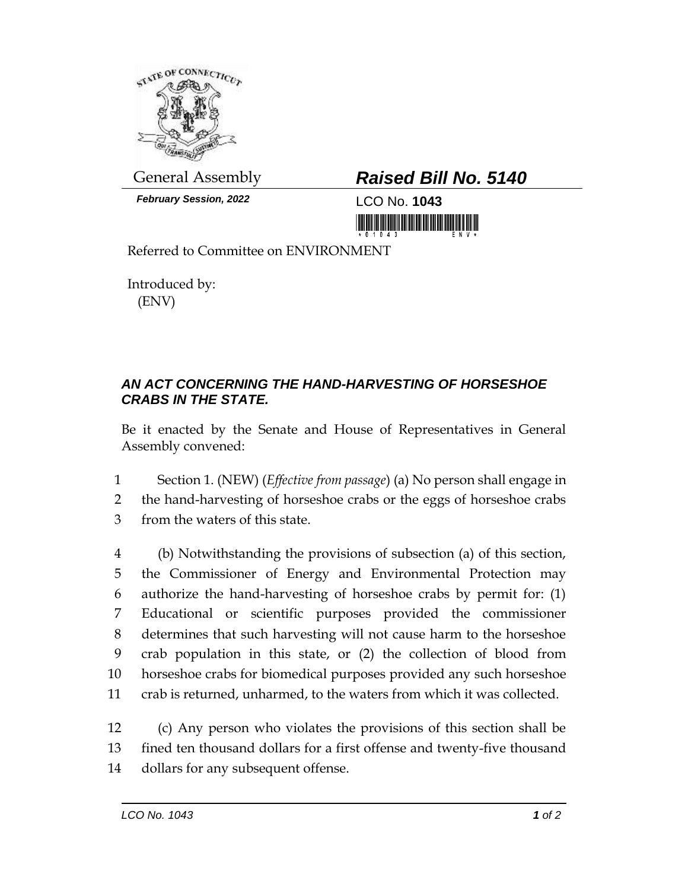

*February Session, 2022* LCO No. **1043**

## General Assembly *Raised Bill No. 5140*

<u> III di kacamatan ing Kabupatèn III di Kabupatèn III di Kabupatèn III di Kabupatèn III di Kabupatèn III di Kabu</u>

Referred to Committee on ENVIRONMENT

Introduced by: (ENV)

## *AN ACT CONCERNING THE HAND-HARVESTING OF HORSESHOE CRABS IN THE STATE.*

Be it enacted by the Senate and House of Representatives in General Assembly convened:

1 Section 1. (NEW) (*Effective from passage*) (a) No person shall engage in 2 the hand-harvesting of horseshoe crabs or the eggs of horseshoe crabs 3 from the waters of this state.

 (b) Notwithstanding the provisions of subsection (a) of this section, the Commissioner of Energy and Environmental Protection may authorize the hand-harvesting of horseshoe crabs by permit for: (1) Educational or scientific purposes provided the commissioner determines that such harvesting will not cause harm to the horseshoe crab population in this state, or (2) the collection of blood from horseshoe crabs for biomedical purposes provided any such horseshoe crab is returned, unharmed, to the waters from which it was collected.

12 (c) Any person who violates the provisions of this section shall be 13 fined ten thousand dollars for a first offense and twenty-five thousand 14 dollars for any subsequent offense.